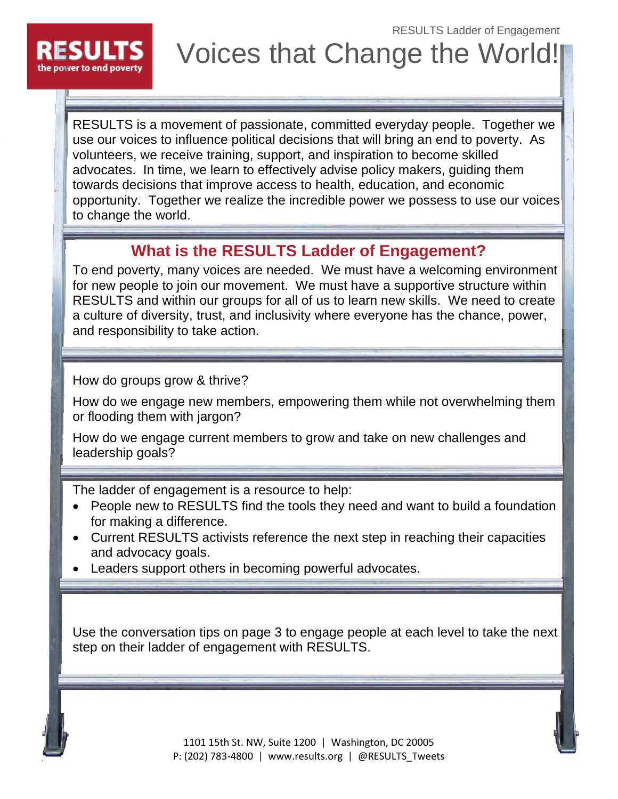RESULTS Ladder of Engagement



Voices that Change the World!

RESULTS is a movement of passionate, committed everyday people. Together we use our voices to influence political decisions that will bring an end to poverty. As volunteers, we receive training, support, and inspiration to become skilled advocates. In time, we learn to effectively advise policy makers, guiding them towards decisions that improve access to health, education, and economic opportunity. Together we realize the incredible power we possess to use our voices to change the world.

### **What is the RESULTS Ladder of Engagement?**

To end poverty, many voices are needed. We must have a welcoming environment for new people to join our movement. We must have a supportive structure within RESULTS and within our groups for all of us to learn new skills. We need to create a culture of diversity, trust, and inclusivity where everyone has the chance, power, and responsibility to take action.

How do groups grow & thrive?

How do we engage new members, empowering them while not overwhelming them or flooding them with jargon?

How do we engage current members to grow and take on new challenges and leadership goals?

The ladder of engagement is a resource to help:

- People new to RESULTS find the tools they need and want to build a foundation for making a difference.
- Current RESULTS activists reference the next step in reaching their capacities and advocacy goals.
- Leaders support others in becoming powerful advocates.

Use the conversation tips on page 3 to engage people at each level to take the next step on their ladder of engagement with RESULTS.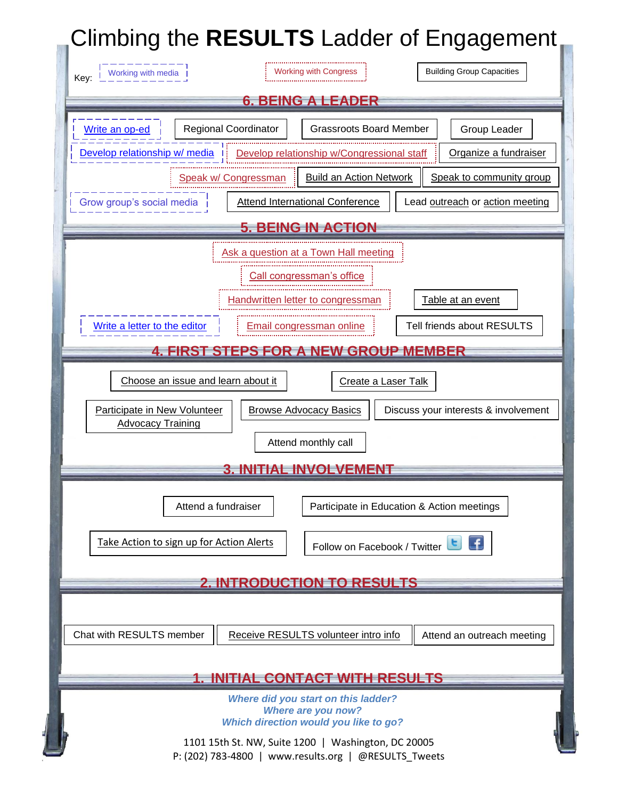# **Climbing the RESULTS** Ladder of Engagement

| <b>Building Group Capacities</b><br>Working with media<br><b>Working with Congress</b><br>Key:                                                                                                          |
|---------------------------------------------------------------------------------------------------------------------------------------------------------------------------------------------------------|
| <b>6. BEING A LEADER</b>                                                                                                                                                                                |
| <b>Regional Coordinator</b><br><b>Grassroots Board Member</b><br>Group Leader<br>Write an op-ed<br>Develop relationship w/ media<br>Organize a fundraiser<br>Develop relationship w/Congressional staff |
| <b>Build an Action Network</b><br>Speak to community group<br>Speak w/ Congressman                                                                                                                      |
| <b>Attend International Conference</b><br>Lead outreach or action meeting<br>Grow group's social media                                                                                                  |
| <b>5. BEING IN ACTION</b>                                                                                                                                                                               |
| Ask a question at a Town Hall meeting<br>Call congressman's office<br>Table at an event<br>Handwritten letter to congressmar                                                                            |
| Write a letter to the editor<br>Tell friends about RESULTS<br>Email congressman online                                                                                                                  |
| <b>4. FIRST STEPS FOR A NEW GROUP MEMBER</b>                                                                                                                                                            |
| Choose an issue and learn about it<br>Create a Laser Talk                                                                                                                                               |
| <b>Browse Advocacy Basics</b><br>Discuss your interests & involvement<br>Participate in New Volunteer<br><b>Advocacy Training</b><br>Attend monthly call                                                |
| <b>3. INITIAL INVOLVEMENT</b>                                                                                                                                                                           |
| Participate in Education & Action meetings<br>Attend a fundraiser                                                                                                                                       |
| Take Action to sign up for Action Alerts<br>Follow on Facebook / Twitter                                                                                                                                |
| <b>2. INTRODUCTION TO RESULTS</b>                                                                                                                                                                       |
| Chat with RESULTS member<br>Receive RESULTS volunteer intro info<br>Attend an outreach meeting                                                                                                          |
| <b>1. INITIAL CONTACT WITH RESULTS</b>                                                                                                                                                                  |
| <b>Where did you start on this ladder?</b><br>Where are you now?<br>Which direction would you like to go?                                                                                               |
| 1101 15th St. NW, Suite 1200   Washington, DC 20005<br>P: (202) 783-4800   www.results.org   @RESULTS Tweets                                                                                            |